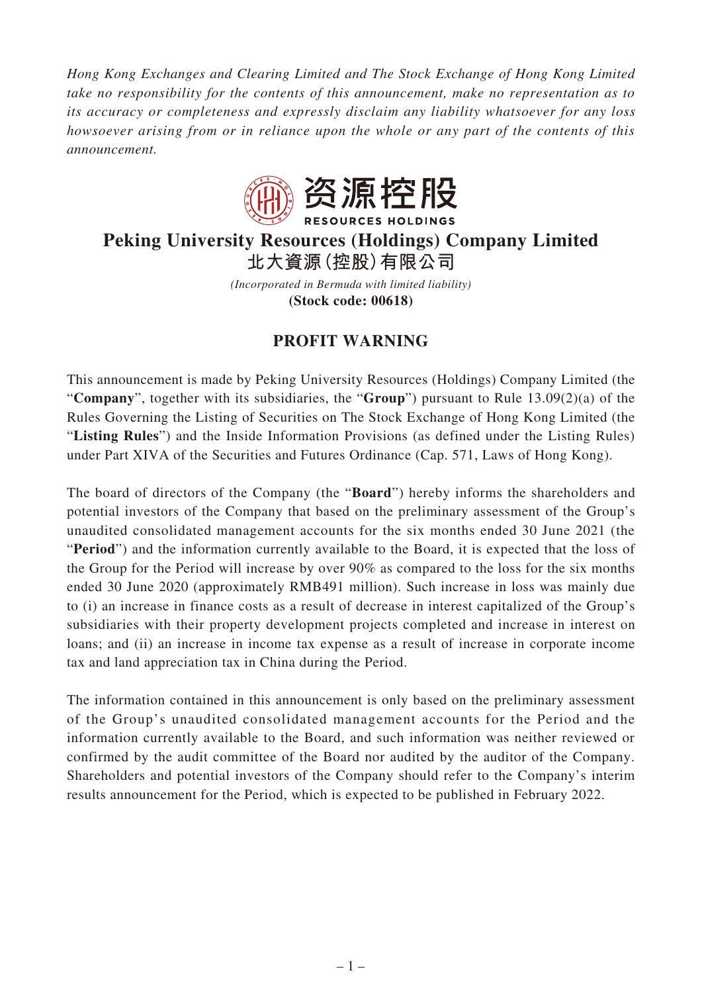*Hong Kong Exchanges and Clearing Limited and The Stock Exchange of Hong Kong Limited take no responsibility for the contents of this announcement, make no representation as to its accuracy or completeness and expressly disclaim any liability whatsoever for any loss howsoever arising from or in reliance upon the whole or any part of the contents of this announcement.*



## **Peking University Resources (Holdings) Company Limited 北大資源(控股)有限公司**

*(Incorporated in Bermuda with limited liability)* **(Stock code: 00618)**

## **PROFIT WARNING**

This announcement is made by Peking University Resources (Holdings) Company Limited (the "**Company**", together with its subsidiaries, the "**Group**") pursuant to Rule 13.09(2)(a) of the Rules Governing the Listing of Securities on The Stock Exchange of Hong Kong Limited (the "**Listing Rules**") and the Inside Information Provisions (as defined under the Listing Rules) under Part XIVA of the Securities and Futures Ordinance (Cap. 571, Laws of Hong Kong).

The board of directors of the Company (the "**Board**") hereby informs the shareholders and potential investors of the Company that based on the preliminary assessment of the Group's unaudited consolidated management accounts for the six months ended 30 June 2021 (the "**Period**") and the information currently available to the Board, it is expected that the loss of the Group for the Period will increase by over 90% as compared to the loss for the six months ended 30 June 2020 (approximately RMB491 million). Such increase in loss was mainly due to (i) an increase in finance costs as a result of decrease in interest capitalized of the Group's subsidiaries with their property development projects completed and increase in interest on loans; and (ii) an increase in income tax expense as a result of increase in corporate income tax and land appreciation tax in China during the Period.

The information contained in this announcement is only based on the preliminary assessment of the Group's unaudited consolidated management accounts for the Period and the information currently available to the Board, and such information was neither reviewed or confirmed by the audit committee of the Board nor audited by the auditor of the Company. Shareholders and potential investors of the Company should refer to the Company's interim results announcement for the Period, which is expected to be published in February 2022.